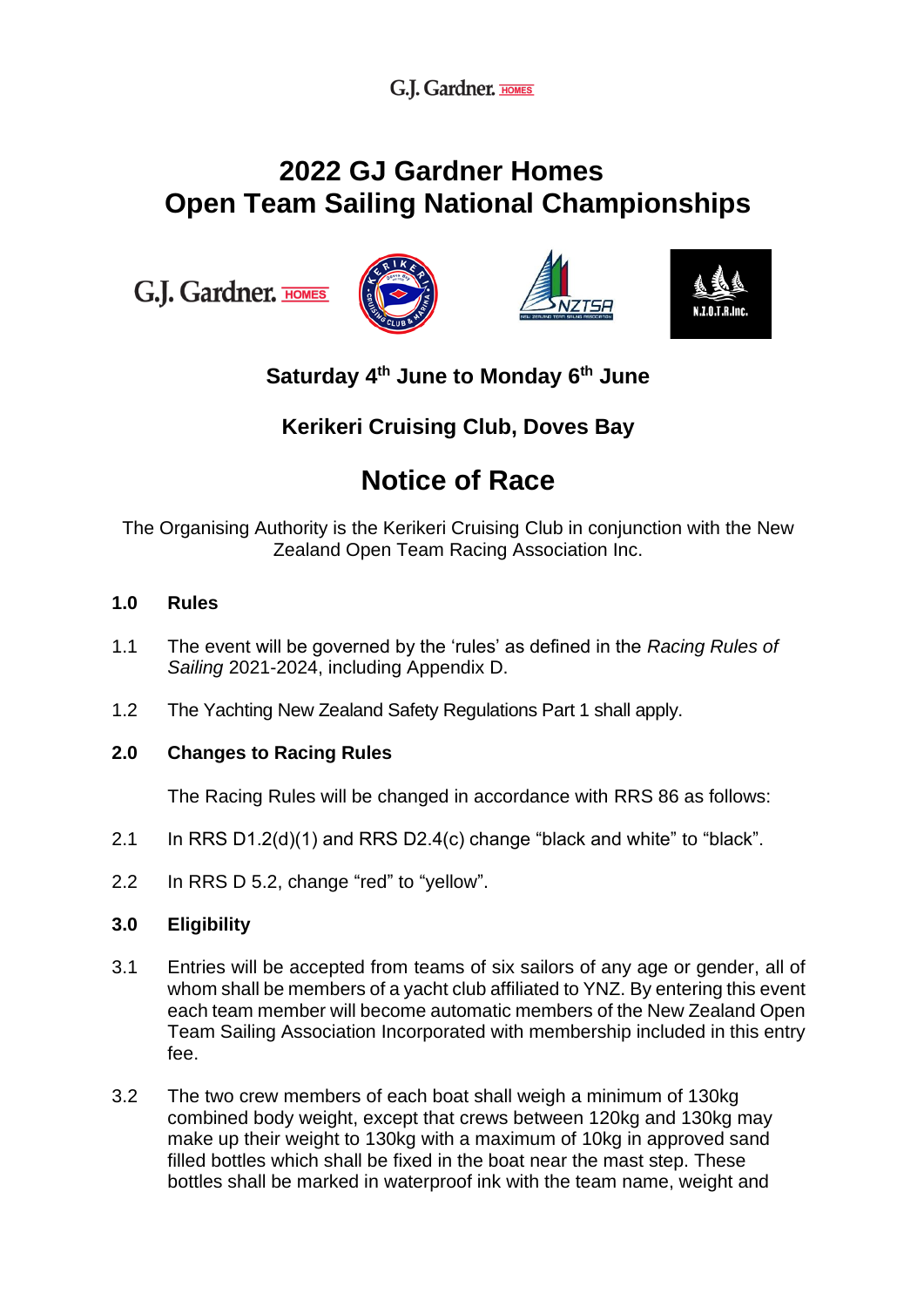G.J. Gardner. HOMES

## **2022 GJ Gardner Homes Open Team Sailing National Championships**

G.J. Gardner. HOMES







## **Saturday 4 th June to Monday 6 th June**

### **Kerikeri Cruising Club, Doves Bay**

# **Notice of Race**

The Organising Authority is the Kerikeri Cruising Club in conjunction with the New Zealand Open Team Racing Association Inc.

#### **1.0 Rules**

- 1.1 The event will be governed by the 'rules' as defined in the *Racing Rules of Sailing* 2021-2024, including Appendix D.
- 1.2 The Yachting New Zealand Safety Regulations Part 1 shall apply.

#### **2.0 Changes to Racing Rules**

The Racing Rules will be changed in accordance with RRS 86 as follows:

- 2.1 In RRS D1.2(d)(1) and RRS D2.4(c) change "black and white" to "black".
- 2.2 In RRS D 5.2, change "red" to "yellow".

#### **3.0 Eligibility**

- 3.1 Entries will be accepted from teams of six sailors of any age or gender, all of whom shall be members of a yacht club affiliated to YNZ. By entering this event each team member will become automatic members of the New Zealand Open Team Sailing Association Incorporated with membership included in this entry fee.
- 3.2 The two crew members of each boat shall weigh a minimum of 130kg combined body weight, except that crews between 120kg and 130kg may make up their weight to 130kg with a maximum of 10kg in approved sand filled bottles which shall be fixed in the boat near the mast step. These bottles shall be marked in waterproof ink with the team name, weight and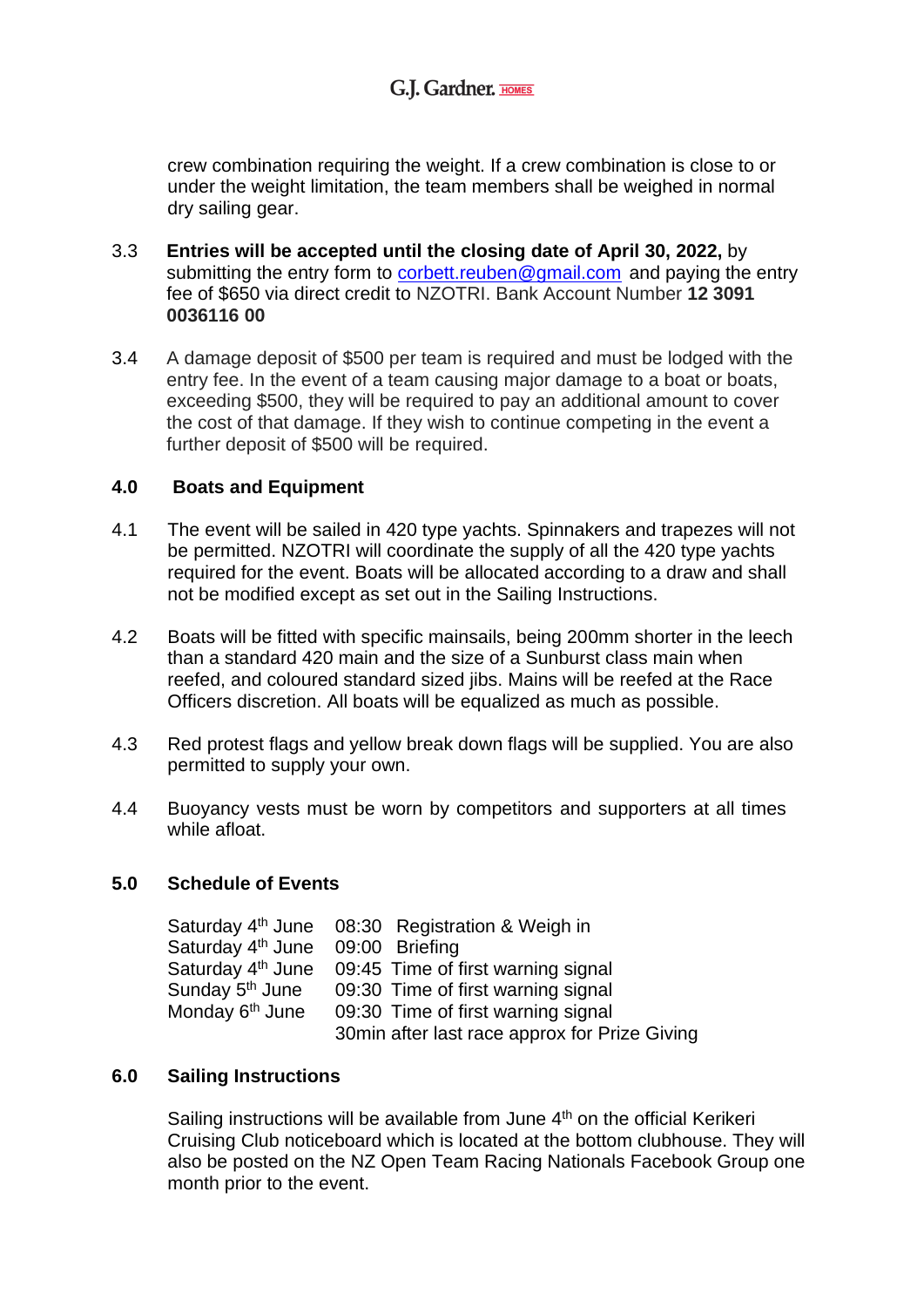crew combination requiring the weight. If a crew combination is close to or under the weight limitation, the team members shall be weighed in normal dry sailing gear.

- 3.3 **Entries will be accepted until the closing date of April 30, 2022,** by submitting the entry form to [corbett.reuben@gmail.com](mailto:corbett.reuben@gmail.com) and paying the entry fee of \$650 via direct credit to NZOTRI. Bank Account Number **12 3091 0036116 00**
- 3.4 A damage deposit of \$500 per team is required and must be lodged with the entry fee. In the event of a team causing major damage to a boat or boats, exceeding \$500, they will be required to pay an additional amount to cover the cost of that damage. If they wish to continue competing in the event a further deposit of \$500 will be required.

#### **4.0 Boats and Equipment**

- 4.1 The event will be sailed in 420 type yachts. Spinnakers and trapezes will not be permitted. NZOTRI will coordinate the supply of all the 420 type yachts required for the event. Boats will be allocated according to a draw and shall not be modified except as set out in the Sailing Instructions.
- 4.2 Boats will be fitted with specific mainsails, being 200mm shorter in the leech than a standard 420 main and the size of a Sunburst class main when reefed, and coloured standard sized jibs. Mains will be reefed at the Race Officers discretion. All boats will be equalized as much as possible.
- 4.3 Red protest flags and yellow break down flags will be supplied. You are also permitted to supply your own.
- 4.4 Buoyancy vests must be worn by competitors and supporters at all times while afloat.

#### **5.0 Schedule of Events**

|                                  | Saturday 4 <sup>th</sup> June 08:30 Registration & Weigh in      |
|----------------------------------|------------------------------------------------------------------|
| Saturday 4th June 09:00 Briefing |                                                                  |
|                                  | Saturday 4 <sup>th</sup> June 09:45 Time of first warning signal |
| Sunday 5 <sup>th</sup> June      | 09:30 Time of first warning signal                               |
| Monday 6 <sup>th</sup> June      | 09:30 Time of first warning signal                               |
|                                  | 30min after last race approx for Prize Giving                    |

#### **6.0 Sailing Instructions**

Sailing instructions will be available from June  $4<sup>th</sup>$  on the official Kerikeri Cruising Club noticeboard which is located at the bottom clubhouse. They will also be posted on the NZ Open Team Racing Nationals Facebook Group one month prior to the event.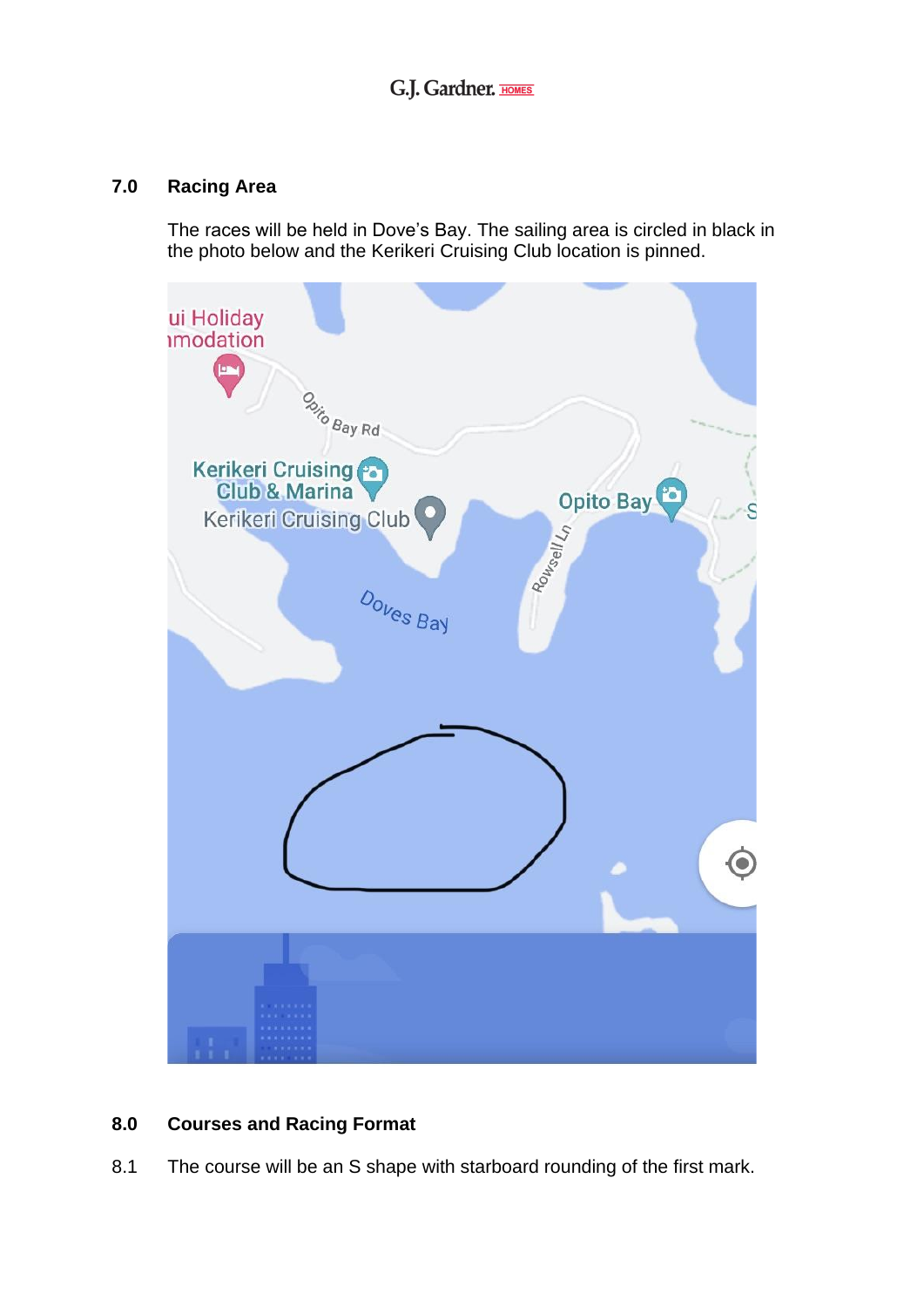#### **7.0 Racing Area**

The races will be held in Dove's Bay. The sailing area is circled in black in the photo below and the Kerikeri Cruising Club location is pinned.



#### **8.0 Courses and Racing Format**

8.1 The course will be an S shape with starboard rounding of the first mark.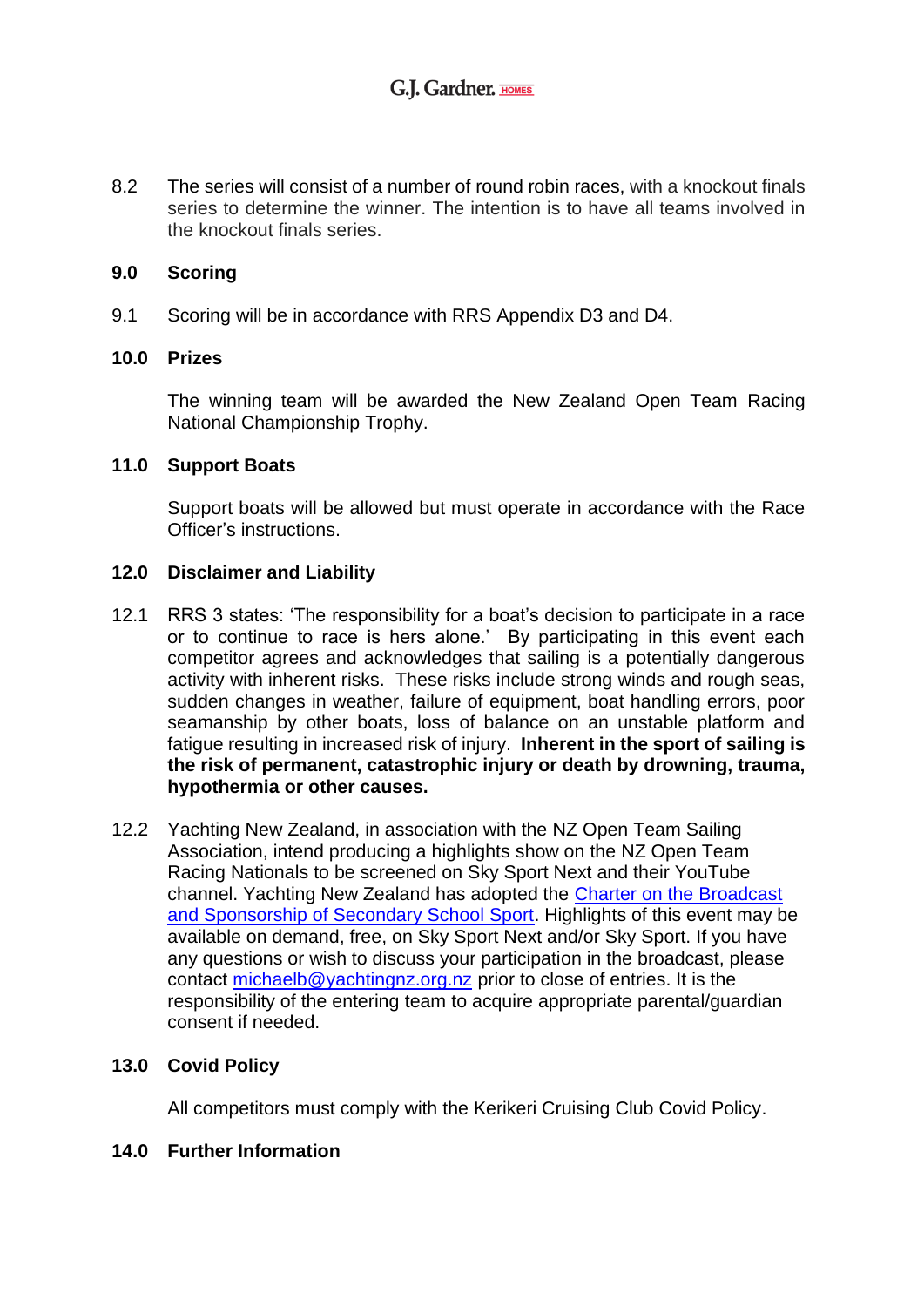8.2 The series will consist of a number of round robin races, with a knockout finals series to determine the winner. The intention is to have all teams involved in the knockout finals series.

#### **9.0 Scoring**

9.1 Scoring will be in accordance with RRS Appendix D3 and D4.

#### **10.0 Prizes**

The winning team will be awarded the New Zealand Open Team Racing National Championship Trophy.

#### **11.0 Support Boats**

Support boats will be allowed but must operate in accordance with the Race Officer's instructions.

#### **12.0 Disclaimer and Liability**

- 12.1 RRS 3 states: 'The responsibility for a boat's decision to participate in a race or to continue to race is hers alone.' By participating in this event each competitor agrees and acknowledges that sailing is a potentially dangerous activity with inherent risks. These risks include strong winds and rough seas, sudden changes in weather, failure of equipment, boat handling errors, poor seamanship by other boats, loss of balance on an unstable platform and fatigue resulting in increased risk of injury. **Inherent in the sport of sailing is the risk of permanent, catastrophic injury or death by drowning, trauma, hypothermia or other causes.**
- 12.2 Yachting New Zealand, in association with the NZ Open Team Sailing Association, intend producing a highlights show on the NZ Open Team Racing Nationals to be screened on Sky Sport Next and their YouTube channel. Yachting New Zealand has adopted the [Charter on the Broadcast](https://nzsportcollective.co.nz/wp-content/uploads/2020/11/CHARTER-ON-THE-BROADCAST-AND-SPONSORSHP-OF-SECONDARY-SCHOOL-SPORT.pdfevent)  [and Sponsorship of Secondary School Sport.](https://nzsportcollective.co.nz/wp-content/uploads/2020/11/CHARTER-ON-THE-BROADCAST-AND-SPONSORSHP-OF-SECONDARY-SCHOOL-SPORT.pdfevent) Highlights of this event may be available on demand, free, on Sky Sport Next and/or Sky Sport. If you have any questions or wish to discuss your participation in the broadcast, please contact [michaelb@yachtingnz.org.nz](mailto:michaelb@yachtingnz.org.nz) prior to close of entries. It is the responsibility of the entering team to acquire appropriate parental/guardian consent if needed.

#### **13.0 Covid Policy**

All competitors must comply with the Kerikeri Cruising Club Covid Policy.

#### **14.0 Further Information**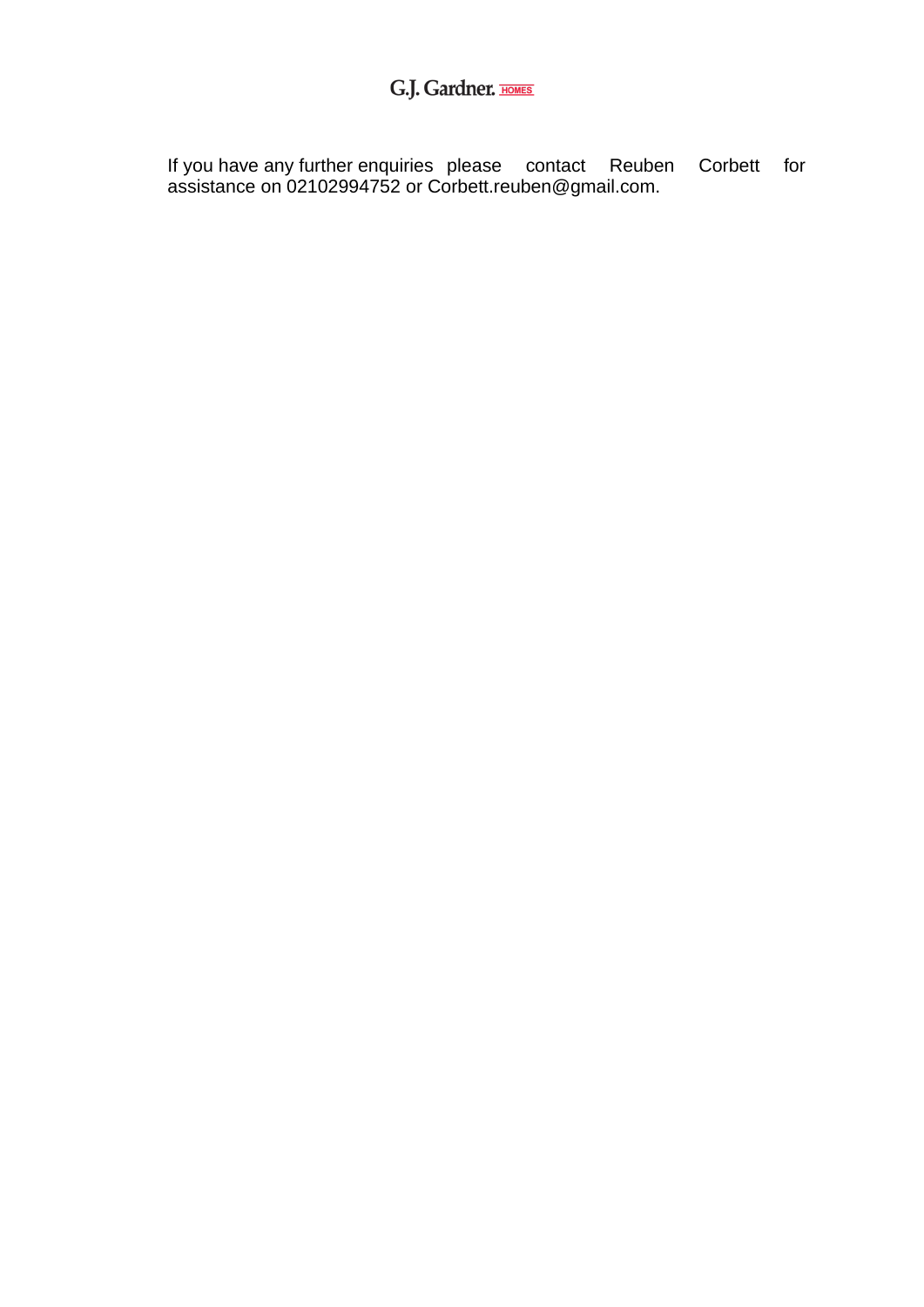## G.J. Gardner. **HOMES**

If you have any further enquiries please contact Reuben Corbett for assistance on 02102994752 or Corbett.reuben@gmail.com.